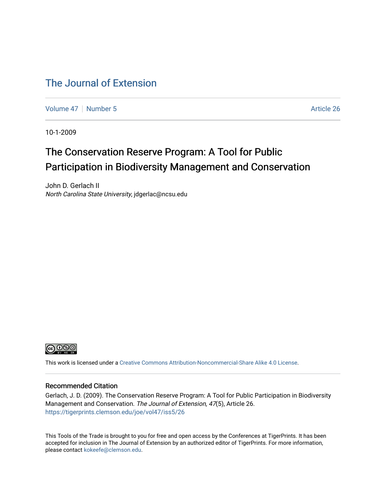#### [The Journal of Extension](https://tigerprints.clemson.edu/joe)

[Volume 47](https://tigerprints.clemson.edu/joe/vol47) | [Number 5](https://tigerprints.clemson.edu/joe/vol47/iss5) Article 26

10-1-2009

## The Conservation Reserve Program: A Tool for Public Participation in Biodiversity Management and Conservation

John D. Gerlach II North Carolina State University, jdgerlac@ncsu.edu



This work is licensed under a [Creative Commons Attribution-Noncommercial-Share Alike 4.0 License.](https://creativecommons.org/licenses/by-nc-sa/4.0/)

#### Recommended Citation

Gerlach, J. D. (2009). The Conservation Reserve Program: A Tool for Public Participation in Biodiversity Management and Conservation. The Journal of Extension, 47(5), Article 26. <https://tigerprints.clemson.edu/joe/vol47/iss5/26>

This Tools of the Trade is brought to you for free and open access by the Conferences at TigerPrints. It has been accepted for inclusion in The Journal of Extension by an authorized editor of TigerPrints. For more information, please contact [kokeefe@clemson.edu](mailto:kokeefe@clemson.edu).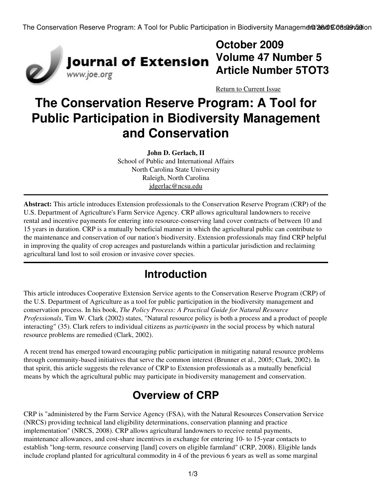The Conservation Reserve Program: A Tool for Public Participation in Biodiversity Management 26600008 08:09:59:00



## **October 2009 Volume 47 Number 5 Article Number 5TOT3**

[Return to Current Issue](http://www.joe.org:80/joe/2009october/)

# **The Conservation Reserve Program: A Tool for Public Participation in Biodiversity Management and Conservation**

**John D. Gerlach, II** School of Public and International Affairs North Carolina State University Raleigh, North Carolina [jdgerlac@ncsu.edu](mailto:jdgerlac@ncsu.edu)

**Abstract:** This article introduces Extension professionals to the Conservation Reserve Program (CRP) of the U.S. Department of Agriculture's Farm Service Agency. CRP allows agricultural landowners to receive rental and incentive payments for entering into resource-conserving land cover contracts of between 10 and 15 years in duration. CRP is a mutually beneficial manner in which the agricultural public can contribute to the maintenance and conservation of our nation's biodiversity. Extension professionals may find CRP helpful in improving the quality of crop acreages and pasturelands within a particular jurisdiction and reclaiming agricultural land lost to soil erosion or invasive cover species.

## **Introduction**

This article introduces Cooperative Extension Service agents to the Conservation Reserve Program (CRP) of the U.S. Department of Agriculture as a tool for public participation in the biodiversity management and conservation process. In his book, *The Policy Process: A Practical Guide for Natural Resource Professionals*, Tim W. Clark (2002) states, "Natural resource policy is both a process and a product of people interacting" (35). Clark refers to individual citizens as *participants* in the social process by which natural resource problems are remedied (Clark, 2002).

A recent trend has emerged toward encouraging public participation in mitigating natural resource problems through community-based initiatives that serve the common interest (Brunner et al., 2005; Clark, 2002). In that spirit, this article suggests the relevance of CRP to Extension professionals as a mutually beneficial means by which the agricultural public may participate in biodiversity management and conservation.

## **Overview of CRP**

CRP is "administered by the Farm Service Agency (FSA), with the Natural Resources Conservation Service (NRCS) providing technical land eligibility determinations, conservation planning and practice implementation" (NRCS, 2008). CRP allows agricultural landowners to receive rental payments, maintenance allowances, and cost-share incentives in exchange for entering 10- to 15-year contacts to establish "long-term, resource conserving [land] covers on eligible farmland" (CRP, 2008). Eligible lands include cropland planted for agricultural commodity in 4 of the previous 6 years as well as some marginal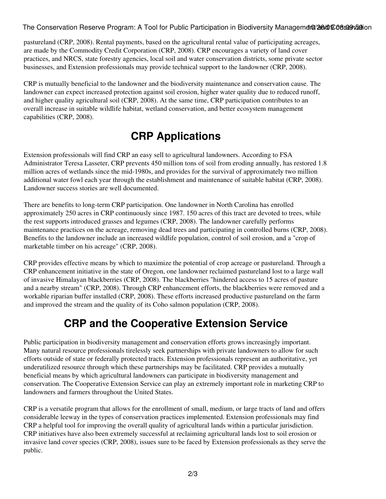The Conservation Reserve Program: A Tool for Public Participation in Biodiversity Management 26600008 08:09:59:00

pastureland (CRP, 2008). Rental payments, based on the agricultural rental value of participating acreages, are made by the Commodity Credit Corporation (CRP, 2008). CRP encourages a variety of land cover practices, and NRCS, state forestry agencies, local soil and water conservation districts, some private sector businesses, and Extension professionals may provide technical support to the landowner (CRP, 2008).

CRP is mutually beneficial to the landowner and the biodiversity maintenance and conservation cause. The landowner can expect increased protection against soil erosion, higher water quality due to reduced runoff, and higher quality agricultural soil (CRP, 2008). At the same time, CRP participation contributes to an overall increase in suitable wildlife habitat, wetland conservation, and better ecosystem management capabilities (CRP, 2008).

## **CRP Applications**

Extension professionals will find CRP an easy sell to agricultural landowners. According to FSA Administrator Teresa Lasseter, CRP prevents 450 million tons of soil from eroding annually, has restored 1.8 million acres of wetlands since the mid-1980s, and provides for the survival of approximately two million additional water fowl each year through the establishment and maintenance of suitable habitat (CRP, 2008). Landowner success stories are well documented.

There are benefits to long-term CRP participation. One landowner in North Carolina has enrolled approximately 250 acres in CRP continuously since 1987. 150 acres of this tract are devoted to trees, while the rest supports introduced grasses and legumes (CRP, 2008). The landowner carefully performs maintenance practices on the acreage, removing dead trees and participating in controlled burns (CRP, 2008). Benefits to the landowner include an increased wildlife population, control of soil erosion, and a "crop of marketable timber on his acreage" (CRP, 2008).

CRP provides effective means by which to maximize the potential of crop acreage or pastureland. Through a CRP enhancement initiative in the state of Oregon, one landowner reclaimed pastureland lost to a large wall of invasive Himalayan blackberries (CRP, 2008). The blackberries "hindered access to 15 acres of pasture and a nearby stream" (CRP, 2008). Through CRP enhancement efforts, the blackberries were removed and a workable riparian buffer installed (CRP, 2008). These efforts increased productive pastureland on the farm and improved the stream and the quality of its Coho salmon population (CRP, 2008).

## **CRP and the Cooperative Extension Service**

Public participation in biodiversity management and conservation efforts grows increasingly important. Many natural resource professionals tirelessly seek partnerships with private landowners to allow for such efforts outside of state or federally protected tracts. Extension professionals represent an authoritative, yet underutilized resource through which these partnerships may be facilitated. CRP provides a mutually beneficial means by which agricultural landowners can participate in biodiversity management and conservation. The Cooperative Extension Service can play an extremely important role in marketing CRP to landowners and farmers throughout the United States.

CRP is a versatile program that allows for the enrollment of small, medium, or large tracts of land and offers considerable leeway in the types of conservation practices implemented. Extension professionals may find CRP a helpful tool for improving the overall quality of agricultural lands within a particular jurisdiction. CRP initiatives have also been extremely successful at reclaiming agricultural lands lost to soil erosion or invasive land cover species (CRP, 2008), issues sure to be faced by Extension professionals as they serve the public.